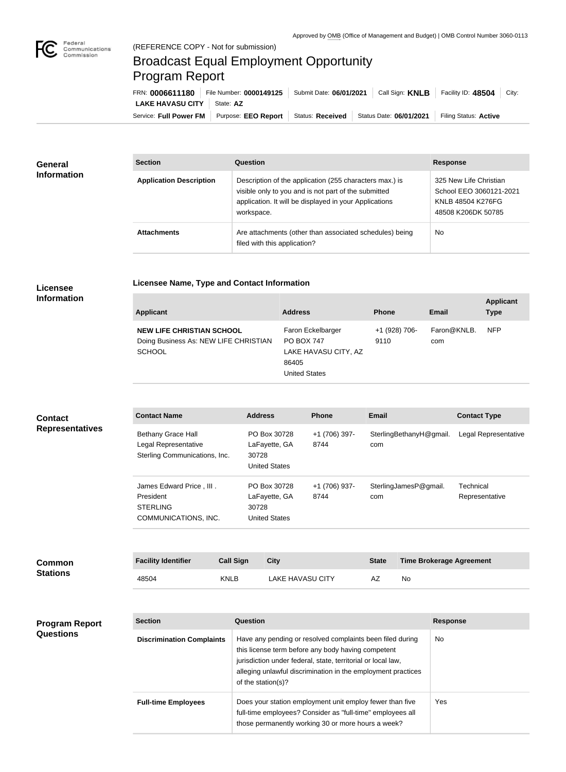

## Broadcast Equal Employment Opportunity Program Report

**Licensee Name, Type and Contact Information**

| FRN: 0006611180              | File Number: 0000149125   Submit Date: 06/01/2021                | Call Sign: <b>KNLB</b> | Facility ID: 48504    | City: |
|------------------------------|------------------------------------------------------------------|------------------------|-----------------------|-------|
| LAKE HAVASU CITY   State: AZ |                                                                  |                        |                       |       |
| Service: Full Power FM       | Purpose: EEO Report   Status: Received   Status Date: 06/01/2021 |                        | Filing Status: Active |       |

| General<br><b>Information</b> | <b>Section</b>                 | Question                                                                                                                                                                                | <b>Response</b>                                                                              |
|-------------------------------|--------------------------------|-----------------------------------------------------------------------------------------------------------------------------------------------------------------------------------------|----------------------------------------------------------------------------------------------|
|                               | <b>Application Description</b> | Description of the application (255 characters max.) is<br>visible only to you and is not part of the submitted<br>application. It will be displayed in your Applications<br>workspace. | 325 New Life Christian<br>School EEO 3060121-2021<br>KNLB 48504 K276FG<br>48508 K206DK 50785 |
|                               | <b>Attachments</b>             | Are attachments (other than associated schedules) being<br>filed with this application?                                                                                                 | No                                                                                           |

## **Licensee Information**

| <b>Applicant</b>                                                                           | <b>Address</b>                                                                                  | <b>Phone</b>          | <b>Email</b>       | <b>Applicant</b><br><b>Type</b> |
|--------------------------------------------------------------------------------------------|-------------------------------------------------------------------------------------------------|-----------------------|--------------------|---------------------------------|
| <b>NEW LIFE CHRISTIAN SCHOOL</b><br>Doing Business As: NEW LIFE CHRISTIAN<br><b>SCHOOL</b> | Faron Eckelbarger<br><b>PO BOX 747</b><br>LAKE HAVASU CITY, AZ<br>86405<br><b>United States</b> | +1 (928) 706-<br>9110 | Faron@KNLB.<br>com | <b>NFP</b>                      |

## **Contact Name Address Phone Email Contact Type** Bethany Grace Hall Legal Representative Sterling Communications, Inc. PO Box 30728 LaFayette, GA 30728 United States +1 (706) 397- 8744 SterlingBethanyH@gmail. Legal Representative com James Edward Price , III . President STERLING COMMUNICATIONS, INC. PO Box 30728 LaFayette, GA 30728 United States +1 (706) 937- 8744 SterlingJamesP@gmail. com Technical Representative **Contact Representatives**

| <b>Common</b><br><b>Stations</b> | <b>Facility Identifier</b> | <b>Call Sign</b> | City                    | <b>State</b> | <b>Time Brokerage Agreement</b> |
|----------------------------------|----------------------------|------------------|-------------------------|--------------|---------------------------------|
|                                  | 48504                      | <b>KNLB</b>      | <b>LAKE HAVASU CITY</b> | AZ           | No                              |

| <b>Program Report</b> |  |
|-----------------------|--|
| <b>Questions</b>      |  |

| <b>Section</b>                   | Question                                                                                                                                                                                                                                                              | <b>Response</b> |
|----------------------------------|-----------------------------------------------------------------------------------------------------------------------------------------------------------------------------------------------------------------------------------------------------------------------|-----------------|
| <b>Discrimination Complaints</b> | Have any pending or resolved complaints been filed during<br>this license term before any body having competent<br>jurisdiction under federal, state, territorial or local law,<br>alleging unlawful discrimination in the employment practices<br>of the station(s)? | No.             |
| <b>Full-time Employees</b>       | Does your station employment unit employ fewer than five<br>full-time employees? Consider as "full-time" employees all<br>those permanently working 30 or more hours a week?                                                                                          | Yes             |